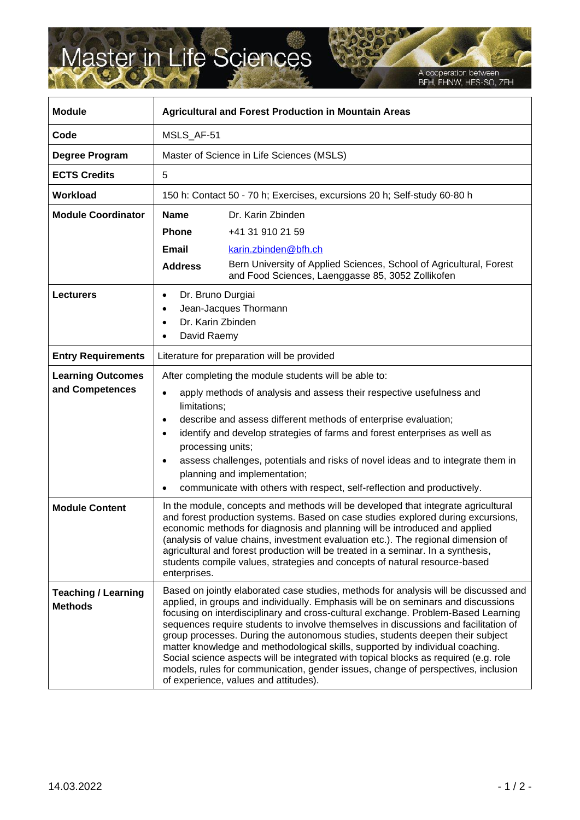## Master in Life Sciences

A cooperation between<br>BFH, FHNW, HES-SO, ZFH

| <b>Module</b>                                | <b>Agricultural and Forest Production in Mountain Areas</b>                                                                                                                                                                                                                                                                                                                                                                                                                                                                                 |                                                                                                                                                                                                                                                                                                                                                                                                                                                                                                                                                                                                                                                                                                                                               |
|----------------------------------------------|---------------------------------------------------------------------------------------------------------------------------------------------------------------------------------------------------------------------------------------------------------------------------------------------------------------------------------------------------------------------------------------------------------------------------------------------------------------------------------------------------------------------------------------------|-----------------------------------------------------------------------------------------------------------------------------------------------------------------------------------------------------------------------------------------------------------------------------------------------------------------------------------------------------------------------------------------------------------------------------------------------------------------------------------------------------------------------------------------------------------------------------------------------------------------------------------------------------------------------------------------------------------------------------------------------|
| Code                                         | MSLS_AF-51                                                                                                                                                                                                                                                                                                                                                                                                                                                                                                                                  |                                                                                                                                                                                                                                                                                                                                                                                                                                                                                                                                                                                                                                                                                                                                               |
| Degree Program                               | Master of Science in Life Sciences (MSLS)                                                                                                                                                                                                                                                                                                                                                                                                                                                                                                   |                                                                                                                                                                                                                                                                                                                                                                                                                                                                                                                                                                                                                                                                                                                                               |
| <b>ECTS Credits</b>                          | 5                                                                                                                                                                                                                                                                                                                                                                                                                                                                                                                                           |                                                                                                                                                                                                                                                                                                                                                                                                                                                                                                                                                                                                                                                                                                                                               |
| Workload                                     | 150 h: Contact 50 - 70 h; Exercises, excursions 20 h; Self-study 60-80 h                                                                                                                                                                                                                                                                                                                                                                                                                                                                    |                                                                                                                                                                                                                                                                                                                                                                                                                                                                                                                                                                                                                                                                                                                                               |
| <b>Module Coordinator</b>                    | <b>Name</b>                                                                                                                                                                                                                                                                                                                                                                                                                                                                                                                                 | Dr. Karin Zbinden                                                                                                                                                                                                                                                                                                                                                                                                                                                                                                                                                                                                                                                                                                                             |
|                                              | <b>Phone</b>                                                                                                                                                                                                                                                                                                                                                                                                                                                                                                                                | +41 31 910 21 59                                                                                                                                                                                                                                                                                                                                                                                                                                                                                                                                                                                                                                                                                                                              |
|                                              | <b>Email</b>                                                                                                                                                                                                                                                                                                                                                                                                                                                                                                                                | karin.zbinden@bfh.ch                                                                                                                                                                                                                                                                                                                                                                                                                                                                                                                                                                                                                                                                                                                          |
|                                              | <b>Address</b>                                                                                                                                                                                                                                                                                                                                                                                                                                                                                                                              | Bern University of Applied Sciences, School of Agricultural, Forest<br>and Food Sciences, Laenggasse 85, 3052 Zollikofen                                                                                                                                                                                                                                                                                                                                                                                                                                                                                                                                                                                                                      |
| <b>Lecturers</b>                             | Dr. Bruno Durgiai<br>$\bullet$<br>Dr. Karin Zbinden<br>David Raemy<br>٠                                                                                                                                                                                                                                                                                                                                                                                                                                                                     | Jean-Jacques Thormann                                                                                                                                                                                                                                                                                                                                                                                                                                                                                                                                                                                                                                                                                                                         |
| <b>Entry Requirements</b>                    | Literature for preparation will be provided                                                                                                                                                                                                                                                                                                                                                                                                                                                                                                 |                                                                                                                                                                                                                                                                                                                                                                                                                                                                                                                                                                                                                                                                                                                                               |
| <b>Learning Outcomes</b><br>and Competences  | After completing the module students will be able to:<br>apply methods of analysis and assess their respective usefulness and<br>limitations;<br>describe and assess different methods of enterprise evaluation;<br>$\bullet$<br>identify and develop strategies of farms and forest enterprises as well as<br>processing units;<br>assess challenges, potentials and risks of novel ideas and to integrate them in<br>$\bullet$<br>planning and implementation;<br>communicate with others with respect, self-reflection and productively. |                                                                                                                                                                                                                                                                                                                                                                                                                                                                                                                                                                                                                                                                                                                                               |
| <b>Module Content</b>                        | In the module, concepts and methods will be developed that integrate agricultural<br>and forest production systems. Based on case studies explored during excursions,<br>economic methods for diagnosis and planning will be introduced and applied<br>(analysis of value chains, investment evaluation etc.). The regional dimension of<br>agricultural and forest production will be treated in a seminar. In a synthesis,<br>students compile values, strategies and concepts of natural resource-based<br>enterprises.                  |                                                                                                                                                                                                                                                                                                                                                                                                                                                                                                                                                                                                                                                                                                                                               |
| <b>Teaching / Learning</b><br><b>Methods</b> |                                                                                                                                                                                                                                                                                                                                                                                                                                                                                                                                             | Based on jointly elaborated case studies, methods for analysis will be discussed and<br>applied, in groups and individually. Emphasis will be on seminars and discussions<br>focusing on interdisciplinary and cross-cultural exchange. Problem-Based Learning<br>sequences require students to involve themselves in discussions and facilitation of<br>group processes. During the autonomous studies, students deepen their subject<br>matter knowledge and methodological skills, supported by individual coaching.<br>Social science aspects will be integrated with topical blocks as required (e.g. role<br>models, rules for communication, gender issues, change of perspectives, inclusion<br>of experience, values and attitudes). |